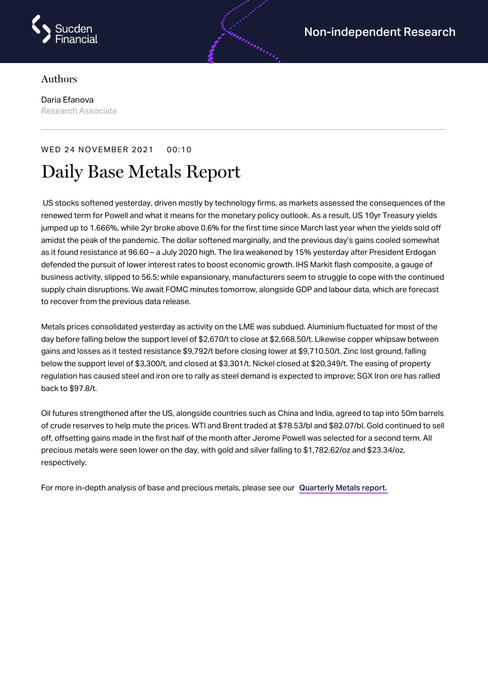

## Authors

Daria Efanova Research Associate

## WED 24 NOVEMBER 2021 00:10

## Daily Base Metals Report

US stocks softened yesterday, driven mostly by technology firms, as markets assessed the consequences of the renewed term for Powell and what it means for the monetary policy outlook. As a result, US 10yr Treasury yields jumped up to 1.666%, while 2yr broke above 0.6% for the first time since March last year when the yields sold off amidst the peak of the pandemic. The dollar softened marginally, and the previous day's gains cooled somewhat as it found resistance at 96.60 – a July 2020 high. The lira weakened by 15% yesterday after President Erdogan defended the pursuit of lower interest rates to boost economic growth. IHS Markit flash composite, a gauge of business activity, slipped to 56.5; while expansionary, manufacturers seem to struggle to cope with the continued supply chain disruptions. We await FOMC minutes tomorrow, alongside GDP and labour data, which are forecast to recover from the previous data release.

Metals prices consolidated yesterday as activity on the LME was subdued. Aluminium fluctuated for most of the day before falling below the support level of \$2,670/t to close at \$2,668.50/t. Likewise copper whipsaw between gains and losses as it tested resistance \$9,792/t before closing lower at \$9,710.50/t. Zinc lost ground, falling below the support level of \$3,300/t, and closed at \$3,301/t. Nickel closed at \$20,349/t. The easing of property regulation has caused steel and iron ore to rally as steel demand is expected to improve; SGX Iron ore has rallied back to \$97.8/t.

Oil futures strengthened after the US, alongside countries such as China and India, agreed to tap into 50m barrels of crude reserves to help mute the prices. WTI and Brent traded at \$78.53/bl and \$82.07/bl. Gold continued to sell off, offsetting gains made in the first half of the month after Jerome Powell was selected for a second term. All precious metals were seen lower on the day, with gold and silver falling to \$1,782.62/oz and \$23.34/oz, respectively.

For more in-depth analysis of base and precious metals, please see our [Quarterly](https://www.sucdenfinancial.com/en/reports/quarterly-metals/qmr-q4-2021/) Metals report.